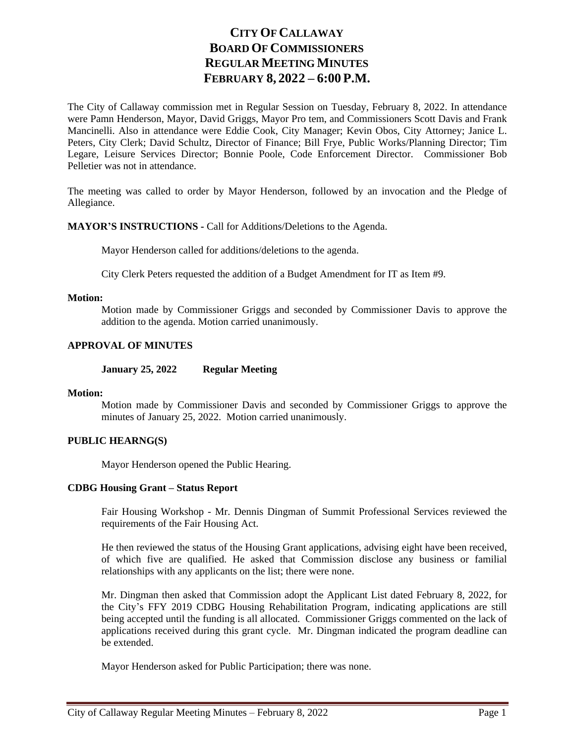# **CITY OF CALLAWAY BOARD OF COMMISSIONERS REGULAR MEETING MINUTES FEBRUARY 8, 2022 – 6:00 P.M.**

The City of Callaway commission met in Regular Session on Tuesday, February 8, 2022. In attendance were Pamn Henderson, Mayor, David Griggs, Mayor Pro tem, and Commissioners Scott Davis and Frank Mancinelli. Also in attendance were Eddie Cook, City Manager; Kevin Obos, City Attorney; Janice L. Peters, City Clerk; David Schultz, Director of Finance; Bill Frye, Public Works/Planning Director; Tim Legare, Leisure Services Director; Bonnie Poole, Code Enforcement Director. Commissioner Bob Pelletier was not in attendance.

The meeting was called to order by Mayor Henderson, followed by an invocation and the Pledge of Allegiance.

### **MAYOR'S INSTRUCTIONS -** Call for Additions/Deletions to the Agenda.

Mayor Henderson called for additions/deletions to the agenda.

City Clerk Peters requested the addition of a Budget Amendment for IT as Item #9.

#### **Motion:**

Motion made by Commissioner Griggs and seconded by Commissioner Davis to approve the addition to the agenda. Motion carried unanimously.

### **APPROVAL OF MINUTES**

**January 25, 2022 Regular Meeting**

### **Motion:**

Motion made by Commissioner Davis and seconded by Commissioner Griggs to approve the minutes of January 25, 2022. Motion carried unanimously.

#### **PUBLIC HEARNG(S)**

Mayor Henderson opened the Public Hearing.

### **CDBG Housing Grant – Status Report**

Fair Housing Workshop - Mr. Dennis Dingman of Summit Professional Services reviewed the requirements of the Fair Housing Act.

He then reviewed the status of the Housing Grant applications, advising eight have been received, of which five are qualified. He asked that Commission disclose any business or familial relationships with any applicants on the list; there were none.

Mr. Dingman then asked that Commission adopt the Applicant List dated February 8, 2022, for the City's FFY 2019 CDBG Housing Rehabilitation Program, indicating applications are still being accepted until the funding is all allocated. Commissioner Griggs commented on the lack of applications received during this grant cycle. Mr. Dingman indicated the program deadline can be extended.

Mayor Henderson asked for Public Participation; there was none.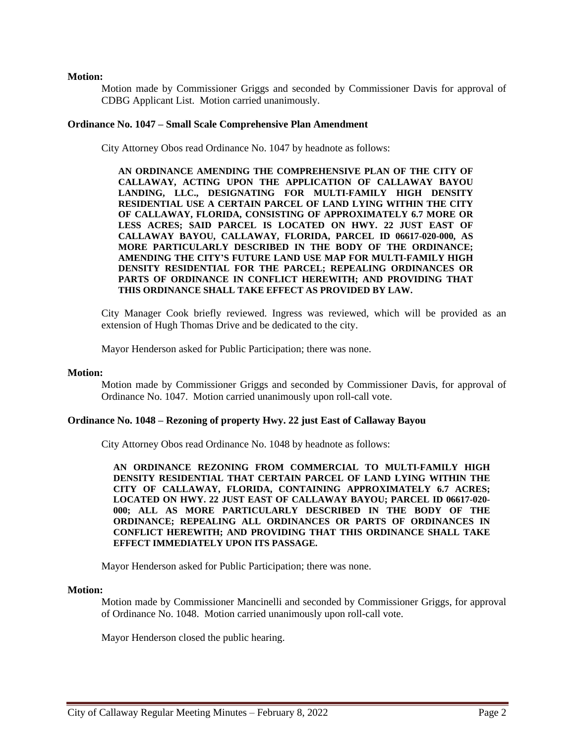### **Motion:**

Motion made by Commissioner Griggs and seconded by Commissioner Davis for approval of CDBG Applicant List. Motion carried unanimously.

#### **Ordinance No. 1047 – Small Scale Comprehensive Plan Amendment**

City Attorney Obos read Ordinance No. 1047 by headnote as follows:

**AN ORDINANCE AMENDING THE COMPREHENSIVE PLAN OF THE CITY OF CALLAWAY, ACTING UPON THE APPLICATION OF CALLAWAY BAYOU LANDING, LLC., DESIGNATING FOR MULTI-FAMILY HIGH DENSITY RESIDENTIAL USE A CERTAIN PARCEL OF LAND LYING WITHIN THE CITY OF CALLAWAY, FLORIDA, CONSISTING OF APPROXIMATELY 6.7 MORE OR LESS ACRES; SAID PARCEL IS LOCATED ON HWY. 22 JUST EAST OF CALLAWAY BAYOU, CALLAWAY, FLORIDA, PARCEL ID 06617-020-000, AS MORE PARTICULARLY DESCRIBED IN THE BODY OF THE ORDINANCE; AMENDING THE CITY'S FUTURE LAND USE MAP FOR MULTI-FAMILY HIGH DENSITY RESIDENTIAL FOR THE PARCEL; REPEALING ORDINANCES OR PARTS OF ORDINANCE IN CONFLICT HEREWITH; AND PROVIDING THAT THIS ORDINANCE SHALL TAKE EFFECT AS PROVIDED BY LAW.**

City Manager Cook briefly reviewed. Ingress was reviewed, which will be provided as an extension of Hugh Thomas Drive and be dedicated to the city.

Mayor Henderson asked for Public Participation; there was none.

#### **Motion:**

Motion made by Commissioner Griggs and seconded by Commissioner Davis, for approval of Ordinance No. 1047. Motion carried unanimously upon roll-call vote.

#### **Ordinance No. 1048 – Rezoning of property Hwy. 22 just East of Callaway Bayou**

City Attorney Obos read Ordinance No. 1048 by headnote as follows:

**AN ORDINANCE REZONING FROM COMMERCIAL TO MULTI-FAMILY HIGH DENSITY RESIDENTIAL THAT CERTAIN PARCEL OF LAND LYING WITHIN THE CITY OF CALLAWAY, FLORIDA, CONTAINING APPROXIMATELY 6.7 ACRES; LOCATED ON HWY. 22 JUST EAST OF CALLAWAY BAYOU; PARCEL ID 06617-020- 000; ALL AS MORE PARTICULARLY DESCRIBED IN THE BODY OF THE ORDINANCE; REPEALING ALL ORDINANCES OR PARTS OF ORDINANCES IN CONFLICT HEREWITH; AND PROVIDING THAT THIS ORDINANCE SHALL TAKE EFFECT IMMEDIATELY UPON ITS PASSAGE.**

Mayor Henderson asked for Public Participation; there was none.

#### **Motion:**

Motion made by Commissioner Mancinelli and seconded by Commissioner Griggs, for approval of Ordinance No. 1048. Motion carried unanimously upon roll-call vote.

Mayor Henderson closed the public hearing.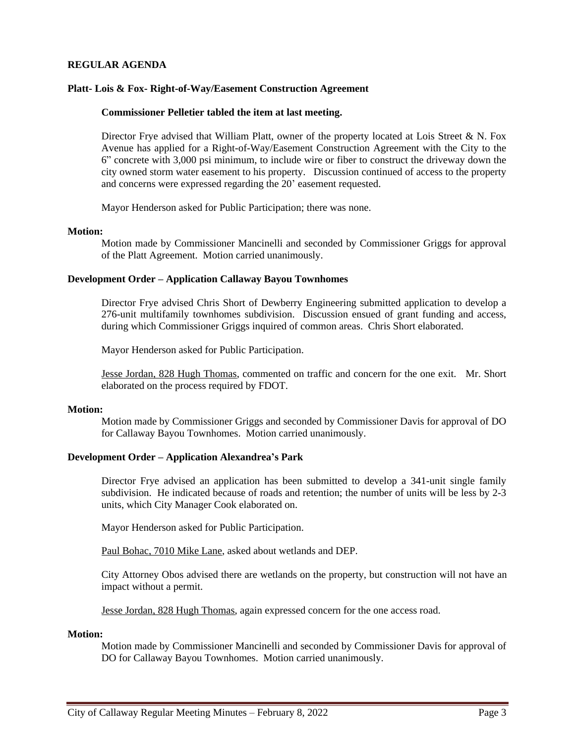# **REGULAR AGENDA**

### **Platt- Lois & Fox- Right-of-Way/Easement Construction Agreement**

#### **Commissioner Pelletier tabled the item at last meeting.**

Director Frye advised that William Platt, owner of the property located at Lois Street & N. Fox Avenue has applied for a Right-of-Way/Easement Construction Agreement with the City to the 6" concrete with 3,000 psi minimum, to include wire or fiber to construct the driveway down the city owned storm water easement to his property. Discussion continued of access to the property and concerns were expressed regarding the 20' easement requested.

Mayor Henderson asked for Public Participation; there was none.

#### **Motion:**

Motion made by Commissioner Mancinelli and seconded by Commissioner Griggs for approval of the Platt Agreement. Motion carried unanimously.

### **Development Order – Application Callaway Bayou Townhomes**

Director Frye advised Chris Short of Dewberry Engineering submitted application to develop a 276-unit multifamily townhomes subdivision. Discussion ensued of grant funding and access, during which Commissioner Griggs inquired of common areas. Chris Short elaborated.

Mayor Henderson asked for Public Participation.

Jesse Jordan, 828 Hugh Thomas, commented on traffic and concern for the one exit. Mr. Short elaborated on the process required by FDOT.

#### **Motion:**

Motion made by Commissioner Griggs and seconded by Commissioner Davis for approval of DO for Callaway Bayou Townhomes. Motion carried unanimously.

### **Development Order – Application Alexandrea's Park**

Director Frye advised an application has been submitted to develop a 341-unit single family subdivision. He indicated because of roads and retention; the number of units will be less by 2-3 units, which City Manager Cook elaborated on.

Mayor Henderson asked for Public Participation.

Paul Bohac, 7010 Mike Lane, asked about wetlands and DEP.

City Attorney Obos advised there are wetlands on the property, but construction will not have an impact without a permit.

Jesse Jordan, 828 Hugh Thomas, again expressed concern for the one access road.

#### **Motion:**

Motion made by Commissioner Mancinelli and seconded by Commissioner Davis for approval of DO for Callaway Bayou Townhomes. Motion carried unanimously.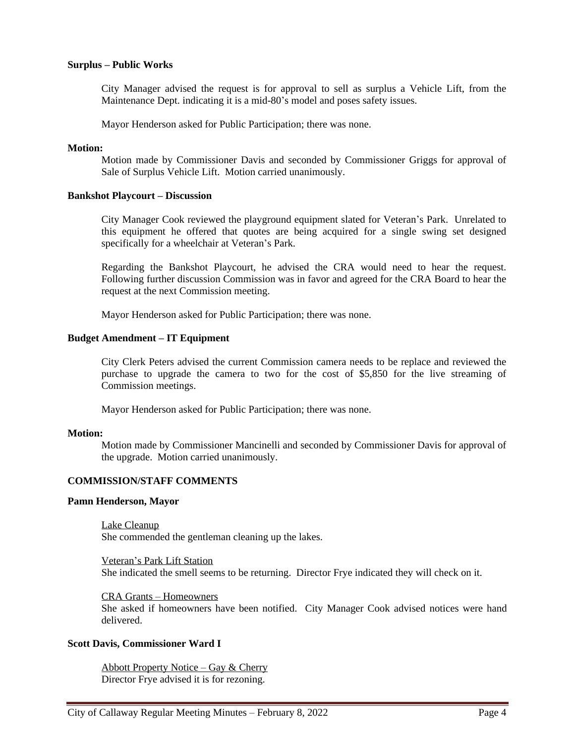### **Surplus – Public Works**

City Manager advised the request is for approval to sell as surplus a Vehicle Lift, from the Maintenance Dept. indicating it is a mid-80's model and poses safety issues.

Mayor Henderson asked for Public Participation; there was none.

#### **Motion:**

Motion made by Commissioner Davis and seconded by Commissioner Griggs for approval of Sale of Surplus Vehicle Lift. Motion carried unanimously.

#### **Bankshot Playcourt – Discussion**

City Manager Cook reviewed the playground equipment slated for Veteran's Park. Unrelated to this equipment he offered that quotes are being acquired for a single swing set designed specifically for a wheelchair at Veteran's Park.

Regarding the Bankshot Playcourt, he advised the CRA would need to hear the request. Following further discussion Commission was in favor and agreed for the CRA Board to hear the request at the next Commission meeting.

Mayor Henderson asked for Public Participation; there was none.

#### **Budget Amendment – IT Equipment**

City Clerk Peters advised the current Commission camera needs to be replace and reviewed the purchase to upgrade the camera to two for the cost of \$5,850 for the live streaming of Commission meetings.

Mayor Henderson asked for Public Participation; there was none.

#### **Motion:**

Motion made by Commissioner Mancinelli and seconded by Commissioner Davis for approval of the upgrade. Motion carried unanimously.

### **COMMISSION/STAFF COMMENTS**

#### **Pamn Henderson, Mayor**

Lake Cleanup She commended the gentleman cleaning up the lakes.

Veteran's Park Lift Station She indicated the smell seems to be returning. Director Frye indicated they will check on it.

#### CRA Grants – Homeowners

She asked if homeowners have been notified. City Manager Cook advised notices were hand delivered.

### **Scott Davis, Commissioner Ward I**

Abbott Property Notice – Gay & Cherry Director Frye advised it is for rezoning.